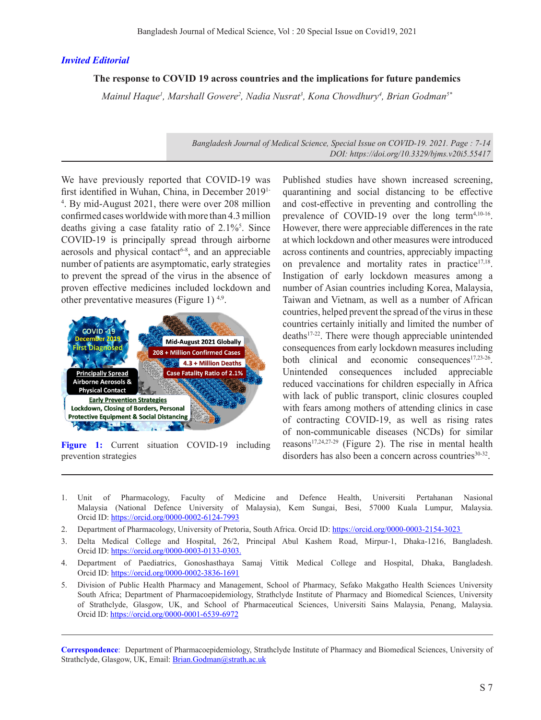## *Invited Editorial*

## **The response to COVID 19 across countries and the implications for future pandemics**

*Mainul Haque<sup>1</sup>, Marshall Gowere<sup>2</sup>, Nadia Nusrat<sup>3</sup>, Kona Chowdhury<sup>4</sup>, Brian Godman<sup>5\*</sup>* 

*Bangladesh Journal of Medical Science, Special Issue on COVID-19. 2021. Page : 7-14 DOI: https://doi.org/10.3329/bjms.v20i5.55417* 

We have previously reported that COVID-19 was first identified in Wuhan, China, in December 20191- 4 . By mid-August 2021, there were over 208 million confirmed cases worldwide with more than 4.3 million deaths giving a case fatality ratio of  $2.1\%$ <sup>5</sup>. Since COVID-19 is principally spread through airborne aerosols and physical contact $6-8$ , and an appreciable number of patients are asymptomatic, early strategies to prevent the spread of the virus in the absence of proven effective medicines included lockdown and other preventative measures (Figure 1)  $4.9$ .



**Figure 1:** Current situation COVID-19 including prevention strategies

Published studies have shown increased screening, quarantining and social distancing to be effective and cost-effective in preventing and controlling the prevalence of COVID-19 over the long term<sup>4,10-16</sup>. However, there were appreciable differences in the rate at which lockdown and other measures were introduced across continents and countries, appreciably impacting on prevalence and mortality rates in practice<sup>17,18</sup>. Instigation of early lockdown measures among a number of Asian countries including Korea, Malaysia, Taiwan and Vietnam, as well as a number of African countries, helped prevent the spread of the virus in these countries certainly initially and limited the number of deaths17-22. There were though appreciable unintended consequences from early lockdown measures including both clinical and economic consequences<sup>17,23-26</sup>. Unintended consequences included appreciable reduced vaccinations for children especially in Africa with lack of public transport, clinic closures coupled with fears among mothers of attending clinics in case of contracting COVID-19, as well as rising rates of non-communicable diseases (NCDs) for similar reasons<sup>17,24,27-29</sup> (Figure 2). The rise in mental health disorders has also been a concern across countries<sup>30-32</sup>.

- 1. Unit of Pharmacology, Faculty of Medicine and Defence Health, Universiti Pertahanan Nasional Malaysia (National Defence University of Malaysia), Kem Sungai, Besi, 57000 Kuala Lumpur, Malaysia. Orcid ID: https://orcid.org/0000-0002-6124-7993
- 2. Department of Pharmacology, University of Pretoria, South Africa. Orcid ID: https://orcid.org/0000-0003-2154-3023
- 3. Delta Medical College and Hospital, 26/2, Principal Abul Kashem Road, Mirpur-1, Dhaka-1216, Bangladesh. Orcid ID: https://orcid.org/0000-0003-0133-0303.
- 4. Department of Paediatrics, Gonoshasthaya Samaj Vittik Medical College and Hospital, Dhaka, Bangladesh. Orcid ID: https://orcid.org/0000-0002-3836-1691
- 5. Division of Public Health Pharmacy and Management, School of Pharmacy, Sefako Makgatho Health Sciences University South Africa; Department of Pharmacoepidemiology, Strathclyde Institute of Pharmacy and Biomedical Sciences, University of Strathclyde, Glasgow, UK, and School of Pharmaceutical Sciences, Universiti Sains Malaysia, Penang, Malaysia. Orcid ID: https://orcid.org/0000-0001-6539-6972

**Correspondence**: Department of Pharmacoepidemiology, Strathclyde Institute of Pharmacy and Biomedical Sciences, University of Strathclyde, Glasgow, UK, Email: Brian.Godman@strath.ac.uk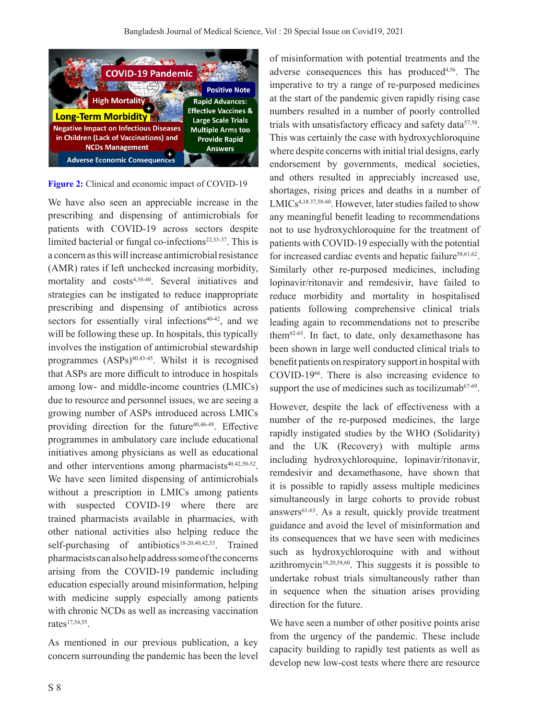

**Figure 2:** Clinical and economic impact of COVID-19

We have also seen an appreciable increase in the prescribing and dispensing of antimicrobials for patients with COVID-19 across sectors despite limited bacterial or fungal co-infections $22,33-37$ . This is a concern as this will increase antimicrobial resistance (AMR) rates if left unchecked increasing morbidity, mortality and costs4,38-40. Several initiatives and strategies can be instigated to reduce inappropriate prescribing and dispensing of antibiotics across sectors for essentially viral infections<sup> $40-42$ </sup>, and we will be following these up. In hospitals, this typically involves the instigation of antimicrobial stewardship programmes  $(ASPs)^{40,43-45}$ . Whilst it is recognised that ASPs are more difficult to introduce in hospitals among low- and middle-income countries (LMICs) due to resource and personnel issues, we are seeing a growing number of ASPs introduced across LMICs providing direction for the future $40,46-49$ . Effective programmes in ambulatory care include educational initiatives among physicians as well as educational and other interventions among pharmacists $40,42,50-52$ . We have seen limited dispensing of antimicrobials without a prescription in LMICs among patients with suspected COVID-19 where there are trained pharmacists available in pharmacies, with other national activities also helping reduce the self-purchasing of antibiotics<sup>18-20,40,42,53</sup>. Trained pharmacists can also help address some of the concerns arising from the COVID-19 pandemic including education especially around misinformation, helping with medicine supply especially among patients with chronic NCDs as well as increasing vaccination rates $17,54,55$ .

As mentioned in our previous publication, a key concern surrounding the pandemic has been the level

of misinformation with potential treatments and the adverse consequences this has produced<sup>4,56</sup>. The imperative to try a range of re-purposed medicines at the start of the pandemic given rapidly rising case numbers resulted in a number of poorly controlled trials with unsatisfactory efficacy and safety data<sup>57,58</sup>. This was certainly the case with hydroxychloroquine where despite concerns with initial trial designs, early endorsement by governments, medical societies, and others resulted in appreciably increased use, shortages, rising prices and deaths in a number of LMICs<sup>4,18.37,58-60</sup>. However, later studies failed to show any meaningful benefit leading to recommendations not to use hydroxychloroquine for the treatment of patients with COVID-19 especially with the potential for increased cardiac events and hepatic failure<sup>58,61,62</sup>. Similarly other re-purposed medicines, including lopinavir/ritonavir and remdesivir, have failed to reduce morbidity and mortality in hospitalised patients following comprehensive clinical trials leading again to recommendations not to prescribe them62-65. In fact, to date, only dexamethasone has been shown in large well conducted clinical trials to benefit patients on respiratory support in hospital with COVID-1966. There is also increasing evidence to support the use of medicines such as tocilizumab $67-69$ .

However, despite the lack of effectiveness with a number of the re-purposed medicines, the large rapidly instigated studies by the WHO (Solidarity) and the UK (Recovery) with multiple arms including hydroxychloroquine, lopinavir/ritonavir, remdesivir and dexamethasone, have shown that it is possible to rapidly assess multiple medicines simultaneously in large cohorts to provide robust answers $61-63$ . As a result, quickly provide treatment guidance and avoid the level of misinformation and its consequences that we have seen with medicines such as hydroxychloroquine with and without azithromycin<sup>18,20,58,60</sup>. This suggests it is possible to undertake robust trials simultaneously rather than in sequence when the situation arises providing direction for the future.

We have seen a number of other positive points arise from the urgency of the pandemic. These include capacity building to rapidly test patients as well as develop new low-cost tests where there are resource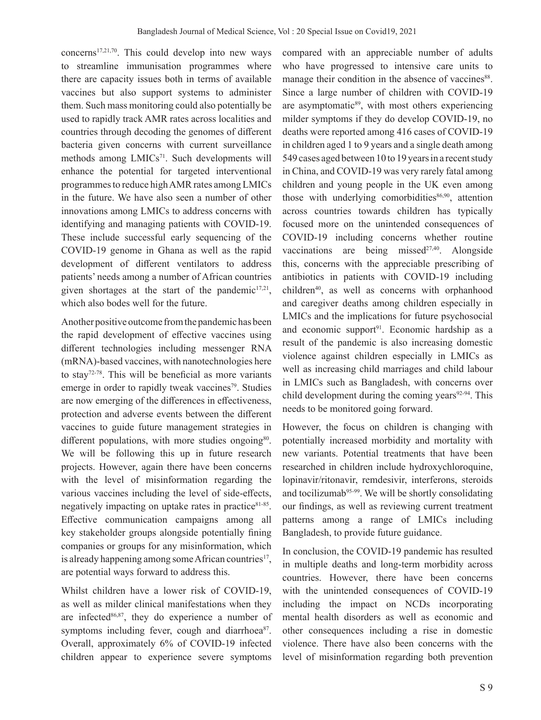concerns17,21,70. This could develop into new ways to streamline immunisation programmes where there are capacity issues both in terms of available vaccines but also support systems to administer them. Such mass monitoring could also potentially be used to rapidly track AMR rates across localities and countries through decoding the genomes of different bacteria given concerns with current surveillance methods among LMICs<sup>71</sup>. Such developments will enhance the potential for targeted interventional programmes to reduce high AMR rates among LMICs in the future. We have also seen a number of other innovations among LMICs to address concerns with identifying and managing patients with COVID-19. These include successful early sequencing of the COVID-19 genome in Ghana as well as the rapid development of different ventilators to address patients' needs among a number of African countries given shortages at the start of the pandemic $17,21$ , which also bodes well for the future.

Another positive outcome from the pandemic has been the rapid development of effective vaccines using different technologies including messenger RNA (mRNA)-based vaccines, with nanotechnologies here to stay<sup>72-78</sup>. This will be beneficial as more variants emerge in order to rapidly tweak vaccines<sup>79</sup>. Studies are now emerging of the differences in effectiveness, protection and adverse events between the different vaccines to guide future management strategies in different populations, with more studies ongoing $80$ . We will be following this up in future research projects. However, again there have been concerns with the level of misinformation regarding the various vaccines including the level of side-effects, negatively impacting on uptake rates in practice $81-85$ . Effective communication campaigns among all key stakeholder groups alongside potentially fining companies or groups for any misinformation, which is already happening among some African countries<sup>17</sup>, are potential ways forward to address this.

Whilst children have a lower risk of COVID-19, as well as milder clinical manifestations when they are infected $86,87$ , they do experience a number of symptoms including fever, cough and diarrhoea<sup>87</sup>. Overall, approximately 6% of COVID-19 infected children appear to experience severe symptoms

compared with an appreciable number of adults who have progressed to intensive care units to manage their condition in the absence of vaccines<sup>88</sup>. Since a large number of children with COVID-19 are asymptomatic $89$ , with most others experiencing milder symptoms if they do develop COVID-19, no deaths were reported among 416 cases of COVID-19 in children aged 1 to 9 years and a single death among 549 cases aged between 10 to 19 years in a recent study in China, and COVID-19 was very rarely fatal among children and young people in the UK even among those with underlying comorbidities $86,90$ , attention across countries towards children has typically focused more on the unintended consequences of COVID-19 including concerns whether routine vaccinations are being missed<sup>27,40</sup>. Alongside this, concerns with the appreciable prescribing of antibiotics in patients with COVID-19 including children<sup>40</sup>, as well as concerns with orphanhood and caregiver deaths among children especially in LMICs and the implications for future psychosocial and economic support<sup>91</sup>. Economic hardship as a result of the pandemic is also increasing domestic violence against children especially in LMICs as well as increasing child marriages and child labour in LMICs such as Bangladesh, with concerns over child development during the coming years $92-94$ . This needs to be monitored going forward.

However, the focus on children is changing with potentially increased morbidity and mortality with new variants. Potential treatments that have been researched in children include hydroxychloroquine, lopinavir/ritonavir, remdesivir, interferons, steroids and tocilizumab<sup>95-99</sup>. We will be shortly consolidating our findings, as well as reviewing current treatment patterns among a range of LMICs including Bangladesh, to provide future guidance.

In conclusion, the COVID-19 pandemic has resulted in multiple deaths and long-term morbidity across countries. However, there have been concerns with the unintended consequences of COVID-19 including the impact on NCDs incorporating mental health disorders as well as economic and other consequences including a rise in domestic violence. There have also been concerns with the level of misinformation regarding both prevention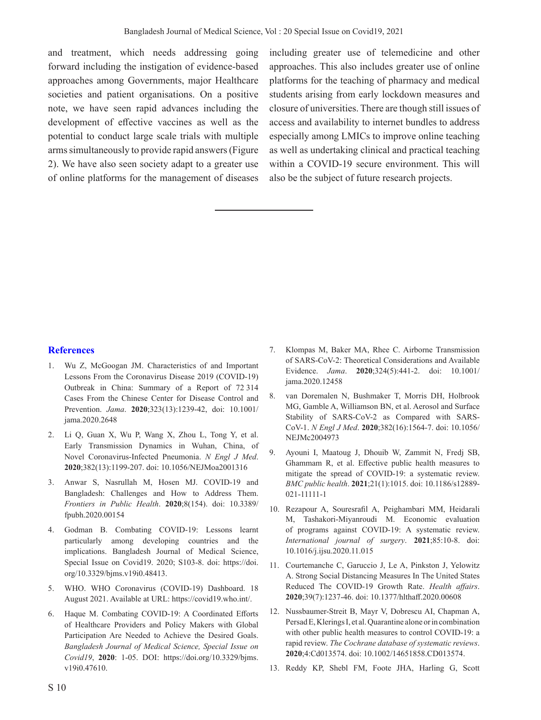and treatment, which needs addressing going forward including the instigation of evidence-based approaches among Governments, major Healthcare societies and patient organisations. On a positive note, we have seen rapid advances including the development of effective vaccines as well as the potential to conduct large scale trials with multiple arms simultaneously to provide rapid answers (Figure 2). We have also seen society adapt to a greater use of online platforms for the management of diseases including greater use of telemedicine and other approaches. This also includes greater use of online platforms for the teaching of pharmacy and medical students arising from early lockdown measures and closure of universities. There are though still issues of access and availability to internet bundles to address especially among LMICs to improve online teaching as well as undertaking clinical and practical teaching within a COVID-19 secure environment. This will also be the subject of future research projects.

## **References**

- 1. Wu Z, McGoogan JM. Characteristics of and Important Lessons From the Coronavirus Disease 2019 (COVID-19) Outbreak in China: Summary of a Report of 72 314 Cases From the Chinese Center for Disease Control and Prevention. *Jama*. **2020**;323(13):1239-42, doi: 10.1001/ jama.2020.2648
- 2. Li Q, Guan X, Wu P, Wang X, Zhou L, Tong Y, et al. Early Transmission Dynamics in Wuhan, China, of Novel Coronavirus-Infected Pneumonia. *N Engl J Med*. **2020**;382(13):1199-207. doi: 10.1056/NEJMoa2001316
- 3. Anwar S, Nasrullah M, Hosen MJ. COVID-19 and Bangladesh: Challenges and How to Address Them. *Frontiers in Public Health*. **2020**;8(154). doi: 10.3389/ fpubh.2020.00154
- 4. Godman B. Combating COVID-19: Lessons learnt particularly among developing countries and the implications. Bangladesh Journal of Medical Science, Special Issue on Covid19. 2020; S103-8. doi: https://doi. org/10.3329/bjms.v19i0.48413.
- 5. WHO. WHO Coronavirus (COVID-19) Dashboard. 18 August 2021. Available at URL: https://covid19.who.int/.
- 6. Haque M. Combating COVID-19: A Coordinated Efforts of Healthcare Providers and Policy Makers with Global Participation Are Needed to Achieve the Desired Goals. *Bangladesh Journal of Medical Science, Special Issue on Covid19*, **2020**: 1-05. DOI: https://doi.org/10.3329/bjms. v19i0.47610.
- 7. Klompas M, Baker MA, Rhee C. Airborne Transmission of SARS-CoV-2: Theoretical Considerations and Available Evidence. *Jama*. **2020**;324(5):441-2. doi: 10.1001/ jama.2020.12458
- 8. van Doremalen N, Bushmaker T, Morris DH, Holbrook MG, Gamble A, Williamson BN, et al. Aerosol and Surface Stability of SARS-CoV-2 as Compared with SARS-CoV-1. *N Engl J Med*. **2020**;382(16):1564-7. doi: 10.1056/ NEJMc2004973
- 9. Ayouni I, Maatoug J, Dhouib W, Zammit N, Fredj SB, Ghammam R, et al. Effective public health measures to mitigate the spread of COVID-19: a systematic review. *BMC public health*. **2021**;21(1):1015. doi: 10.1186/s12889- 021-11111-1
- 10. Rezapour A, Souresrafil A, Peighambari MM, Heidarali M, Tashakori-Miyanroudi M. Economic evaluation of programs against COVID-19: A systematic review. *International journal of surgery*. **2021**;85:10-8. doi: 10.1016/j.ijsu.2020.11.015
- 11. Courtemanche C, Garuccio J, Le A, Pinkston J, Yelowitz A. Strong Social Distancing Measures In The United States Reduced The COVID-19 Growth Rate. *Health affairs*. **2020**;39(7):1237-46. doi: 10.1377/hlthaff.2020.00608
- 12. Nussbaumer-Streit B, Mayr V, Dobrescu AI, Chapman A, Persad E, Klerings I, et al. Quarantine alone or in combination with other public health measures to control COVID-19: a rapid review. *The Cochrane database of systematic reviews*. **2020**;4:Cd013574. doi: 10.1002/14651858.CD013574.
- 13. Reddy KP, Shebl FM, Foote JHA, Harling G, Scott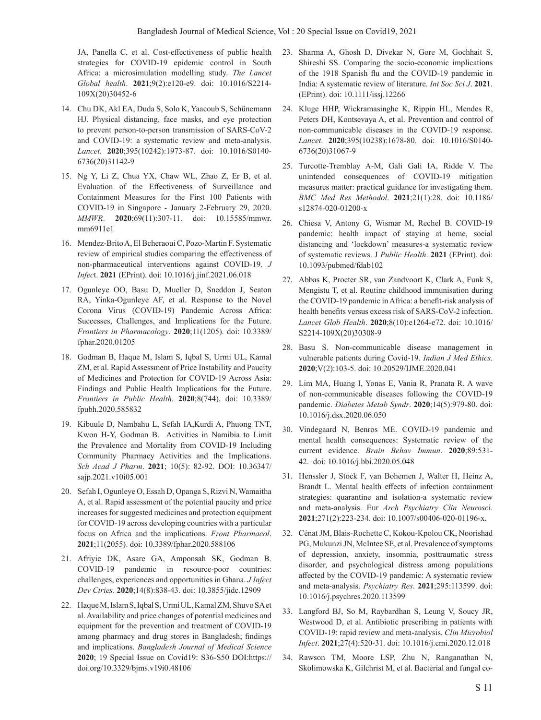JA, Panella C, et al. Cost-effectiveness of public health strategies for COVID-19 epidemic control in South Africa: a microsimulation modelling study. *The Lancet Global health*. **2021**;9(2):e120-e9. doi: 10.1016/S2214- 109X(20)30452-6

- 14. Chu DK, Akl EA, Duda S, Solo K, Yaacoub S, Schünemann HJ. Physical distancing, face masks, and eye protection to prevent person-to-person transmission of SARS-CoV-2 and COVID-19: a systematic review and meta-analysis. *Lancet*. **2020**;395(10242):1973-87. doi: 10.1016/S0140- 6736(20)31142-9
- 15. Ng Y, Li Z, Chua YX, Chaw WL, Zhao Z, Er B, et al. Evaluation of the Effectiveness of Surveillance and Containment Measures for the First 100 Patients with COVID-19 in Singapore - January 2-February 29, 2020. *MMWR*. **2020**;69(11):307-11. doi: 10.15585/mmwr. mm6911e1
- 16. Mendez-Brito A, El Bcheraoui C, Pozo-Martin F. Systematic review of empirical studies comparing the effectiveness of non-pharmaceutical interventions against COVID-19. *J Infec*t. **2021** (EPrint). doi: 10.1016/j.jinf.2021.06.018
- 17. Ogunleye OO, Basu D, Mueller D, Sneddon J, Seaton RA, Yinka-Ogunleye AF, et al. Response to the Novel Corona Virus (COVID-19) Pandemic Across Africa: Successes, Challenges, and Implications for the Future. *Frontiers in Pharmacology*. **2020**;11(1205). doi: 10.3389/ fphar.2020.01205
- 18. Godman B, Haque M, Islam S, Iqbal S, Urmi UL, Kamal ZM, et al. Rapid Assessment of Price Instability and Paucity of Medicines and Protection for COVID-19 Across Asia: Findings and Public Health Implications for the Future. *Frontiers in Public Health*. **2020**;8(744). doi: 10.3389/ fpubh.2020.585832
- 19. Kibuule D, Nambahu L, Sefah IA,Kurdi A, Phuong TNT, Kwon H-Y, Godman B. Activities in Namibia to Limit the Prevalence and Mortality from COVID-19 Including Community Pharmacy Activities and the Implications. *Sch Acad J Pharm*. **2021**; 10(5): 82-92. DOI: 10.36347/ sajp.2021.v10i05.001
- 20. Sefah I, Ogunleye O, Essah D, Opanga S, Rizvi N, Wamaitha A, et al. Rapid assessment of the potential paucity and price increases for suggested medicines and protection equipment for COVID-19 across developing countries with a particular focus on Africa and the implications. *Front Pharmacol*. **2021**;11(2055). doi: 10.3389/fphar.2020.588106
- 21. Afriyie DK, Asare GA, Amponsah SK, Godman B. COVID-19 pandemic in resource-poor countries: challenges, experiences and opportunities in Ghana. *J Infect Dev Ctries*. **2020**;14(8):838-43. doi: 10.3855/jidc.12909
- 22. Haque M, Islam S, Iqbal S, Urmi UL, Kamal ZM, Shuvo SA et al. Availability and price changes of potential medicines and equipment for the prevention and treatment of COVID-19 among pharmacy and drug stores in Bangladesh; findings and implications. *Bangladesh Journal of Medical Science* **2020**; 19 Special Issue on Covid19: S36-S50 DOI:https:// doi.org/10.3329/bjms.v19i0.48106
- 23. Sharma A, Ghosh D, Divekar N, Gore M, Gochhait S, Shireshi SS. Comparing the socio-economic implications of the 1918 Spanish flu and the COVID-19 pandemic in India: A systematic review of literature. *Int Soc Sci J*. **2021**. (EPrint). doi: 10.1111/issj.12266
- 24. Kluge HHP, Wickramasinghe K, Rippin HL, Mendes R, Peters DH, Kontsevaya A, et al. Prevention and control of non-communicable diseases in the COVID-19 response. *Lancet*. **2020**;395(10238):1678-80. doi: 10.1016/S0140- 6736(20)31067-9
- 25. Turcotte-Tremblay A-M, Gali Gali IA, Ridde V. The unintended consequences of COVID-19 mitigation measures matter: practical guidance for investigating them. *BMC Med Res Methodol*. **2021**;21(1):28. doi: 10.1186/ s12874-020-01200-x
- 26. Chiesa V, Antony G, Wismar M, Rechel B. COVID-19 pandemic: health impact of staying at home, social distancing and 'lockdown' measures-a systematic review of systematic reviews. J *Public Health*. **2021** (EPrint). doi: 10.1093/pubmed/fdab102
- 27. Abbas K, Procter SR, van Zandvoort K, Clark A, Funk S, Mengistu T, et al. Routine childhood immunisation during the COVID-19 pandemic in Africa: a benefit-risk analysis of health benefits versus excess risk of SARS-CoV-2 infection. *Lancet Glob Health*. **2020**;8(10):e1264-e72. doi: 10.1016/ S2214-109X(20)30308-9
- 28. Basu S. Non-communicable disease management in vulnerable patients during Covid-19. *Indian J Med Ethics*. **2020**;V(2):103-5. doi: 10.20529/IJME.2020.041
- 29. Lim MA, Huang I, Yonas E, Vania R, Pranata R. A wave of non-communicable diseases following the COVID-19 pandemic. *Diabetes Metab Syndr*. **2020**;14(5):979-80. doi: 10.1016/j.dsx.2020.06.050
- 30. Vindegaard N, Benros ME. COVID-19 pandemic and mental health consequences: Systematic review of the current evidence. *Brain Behav Immun*. **2020**;89:531- 42. doi: 10.1016/j.bbi.2020.05.048
- 31. Henssler J, Stock F, van Bohemen J, Walter H, Heinz A, Brandt L. Mental health effects of infection containment strategies: quarantine and isolation-a systematic review and meta-analysis. Eur *Arch Psychiatry Clin Neurosc*i. **2021**;271(2):223-234. doi: 10.1007/s00406-020-01196-x.
- 32. Cénat JM, Blais-Rochette C, Kokou-Kpolou CK, Noorishad PG, Mukunzi JN, McIntee SE, et al. Prevalence of symptoms of depression, anxiety, insomnia, posttraumatic stress disorder, and psychological distress among populations affected by the COVID-19 pandemic: A systematic review and meta-analysis. *Psychiatry Res*. **2021**;295:113599. doi: 10.1016/j.psychres.2020.113599
- 33. Langford BJ, So M, Raybardhan S, Leung V, Soucy JR, Westwood D, et al. Antibiotic prescribing in patients with COVID-19: rapid review and meta-analysis. *Clin Microbiol Infect*. **2021**;27(4):520-31. doi: 10.1016/j.cmi.2020.12.018
- 34. Rawson TM, Moore LSP, Zhu N, Ranganathan N, Skolimowska K, Gilchrist M, et al. Bacterial and fungal co-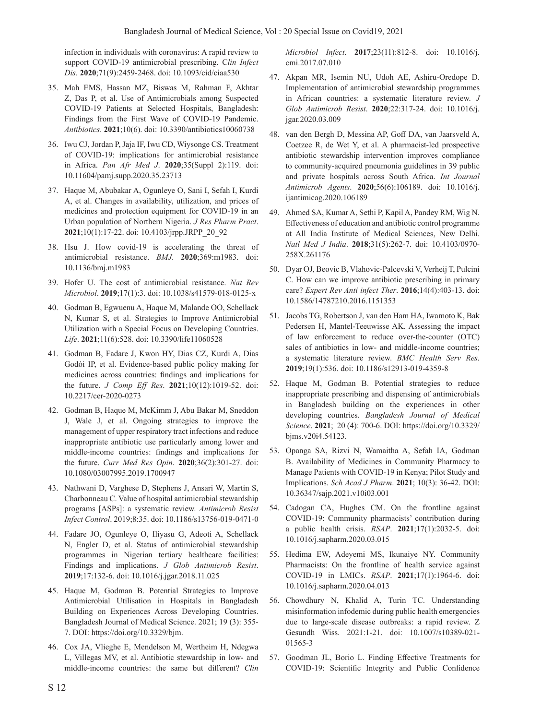infection in individuals with coronavirus: A rapid review to support COVID-19 antimicrobial prescribing. C*lin Infect Dis*. **2020**;71(9):2459-2468. doi: 10.1093/cid/ciaa530

- 35. Mah EMS, Hassan MZ, Biswas M, Rahman F, Akhtar Z, Das P, et al. Use of Antimicrobials among Suspected COVID-19 Patients at Selected Hospitals, Bangladesh: Findings from the First Wave of COVID-19 Pandemic. *Antibiotics*. **2021**;10(6). doi: 10.3390/antibiotics10060738
- 36. Iwu CJ, Jordan P, Jaja IF, Iwu CD, Wiysonge CS. Treatment of COVID-19: implications for antimicrobial resistance in Africa. *Pan Afr Med J*. **2020**;35(Suppl 2):119. doi: 10.11604/pamj.supp.2020.35.23713
- 37. Haque M, Abubakar A, Ogunleye O, Sani I, Sefah I, Kurdi A, et al. Changes in availability, utilization, and prices of medicines and protection equipment for COVID-19 in an Urban population of Northern Nigeria. *J Res Pharm Pract*. **2021**;10(1):17-22. doi: 10.4103/jrpp.JRPP\_20\_92
- 38. Hsu J. How covid-19 is accelerating the threat of antimicrobial resistance. *BMJ*. **2020**;369:m1983. doi: 10.1136/bmj.m1983
- 39. Hofer U. The cost of antimicrobial resistance. *Nat Rev Microbiol*. **2019**;17(1):3. doi: 10.1038/s41579-018-0125-x
- 40. Godman B, Egwuenu A, Haque M, Malande OO, Schellack N, Kumar S, et al. Strategies to Improve Antimicrobial Utilization with a Special Focus on Developing Countries. *Life*. **2021**;11(6):528. doi: 10.3390/life11060528
- 41. Godman B, Fadare J, Kwon HY, Dias CZ, Kurdi A, Dias Godói IP, et al. Evidence-based public policy making for medicines across countries: findings and implications for the future. *J Comp Eff Res*. **2021**;10(12):1019-52. doi: 10.2217/cer-2020-0273
- 42. Godman B, Haque M, McKimm J, Abu Bakar M, Sneddon J, Wale J, et al. Ongoing strategies to improve the management of upper respiratory tract infections and reduce inappropriate antibiotic use particularly among lower and middle-income countries: findings and implications for the future. *Curr Med Res Opin*. **2020**;36(2):301-27. doi: 10.1080/03007995.2019.1700947
- 43. Nathwani D, Varghese D, Stephens J, Ansari W, Martin S, Charbonneau C. Value of hospital antimicrobial stewardship programs [ASPs]: a systematic review. *Antimicrob Resist Infect Control*. 2019;8:35. doi: 10.1186/s13756-019-0471-0
- 44. Fadare JO, Ogunleye O, Iliyasu G, Adeoti A, Schellack N, Engler D, et al. Status of antimicrobial stewardship programmes in Nigerian tertiary healthcare facilities: Findings and implications. *J Glob Antimicrob Resist*. **2019**;17:132-6. doi: 10.1016/j.jgar.2018.11.025
- 45. Haque M, Godman B. Potential Strategies to Improve Antimicrobial Utilisation in Hospitals in Bangladesh Building on Experiences Across Developing Countries. Bangladesh Journal of Medical Science. 2021; 19 (3): 355- 7. DOI: https://doi.org/10.3329/bjm.
- 46. Cox JA, Vlieghe E, Mendelson M, Wertheim H, Ndegwa L, Villegas MV, et al. Antibiotic stewardship in low- and middle-income countries: the same but different? *Clin*

*Microbiol Infect*. **2017**;23(11):812-8. doi: 10.1016/j. cmi.2017.07.010

- 47. Akpan MR, Isemin NU, Udoh AE, Ashiru-Oredope D. Implementation of antimicrobial stewardship programmes in African countries: a systematic literature review. *J Glob Antimicrob Resist*. **2020**;22:317-24. doi: 10.1016/j. jgar.2020.03.009
- 48. van den Bergh D, Messina AP, Goff DA, van Jaarsveld A, Coetzee R, de Wet Y, et al. A pharmacist-led prospective antibiotic stewardship intervention improves compliance to community-acquired pneumonia guidelines in 39 public and private hospitals across South Africa. *Int Journal Antimicrob Agents*. **2020**;56(6):106189. doi: 10.1016/j. ijantimicag.2020.106189
- 49. Ahmed SA, Kumar A, Sethi P, Kapil A, Pandey RM, Wig N. Effectiveness of education and antibiotic control programme at All India Institute of Medical Sciences, New Delhi. *Natl Med J India*. **2018**;31(5):262-7. doi: 10.4103/0970- 258X.261176
- 50. Dyar OJ, Beovic B, Vlahovic-Palcevski V, Verheij T, Pulcini C. How can we improve antibiotic prescribing in primary care? *Expert Rev Anti infect Ther*. **2016**;14(4):403-13. doi: 10.1586/14787210.2016.1151353
- 51. Jacobs TG, Robertson J, van den Ham HA, Iwamoto K, Bak Pedersen H, Mantel-Teeuwisse AK. Assessing the impact of law enforcement to reduce over-the-counter (OTC) sales of antibiotics in low- and middle-income countries; a systematic literature review. *BMC Health Serv Res*. **2019**;19(1):536. doi: 10.1186/s12913-019-4359-8
- 52. Haque M, Godman B. Potential strategies to reduce inappropriate prescribing and dispensing of antimicrobials in Bangladesh building on the experiences in other developing countries. *Bangladesh Journal of Medical Science*. **2021**; 20 (4): 700-6. DOI: https://doi.org/10.3329/ bjms.v20i4.54123.
- 53. Opanga SA, Rizvi N, Wamaitha A, Sefah IA, Godman B. Availability of Medicines in Community Pharmacy to Manage Patients with COVID-19 in Kenya; Pilot Study and Implications. *Sch Acad J Pharm*. **2021**; 10(3): 36-42. DOI: 10.36347/sajp.2021.v10i03.001
- 54. Cadogan CA, Hughes CM. On the frontline against COVID-19: Community pharmacists' contribution during a public health crisis. *RSAP*. **2021**;17(1):2032-5. doi: 10.1016/j.sapharm.2020.03.015
- 55. Hedima EW, Adeyemi MS, Ikunaiye NY. Community Pharmacists: On the frontline of health service against COVID-19 in LMICs. *RSAP*. **2021**;17(1):1964-6. doi: 10.1016/j.sapharm.2020.04.013
- 56. Chowdhury N, Khalid A, Turin TC. Understanding misinformation infodemic during public health emergencies due to large-scale disease outbreaks: a rapid review. Z Gesundh Wiss. 2021:1-21. doi: 10.1007/s10389-021- 01565-3
- 57. Goodman JL, Borio L. Finding Effective Treatments for COVID-19: Scientific Integrity and Public Confidence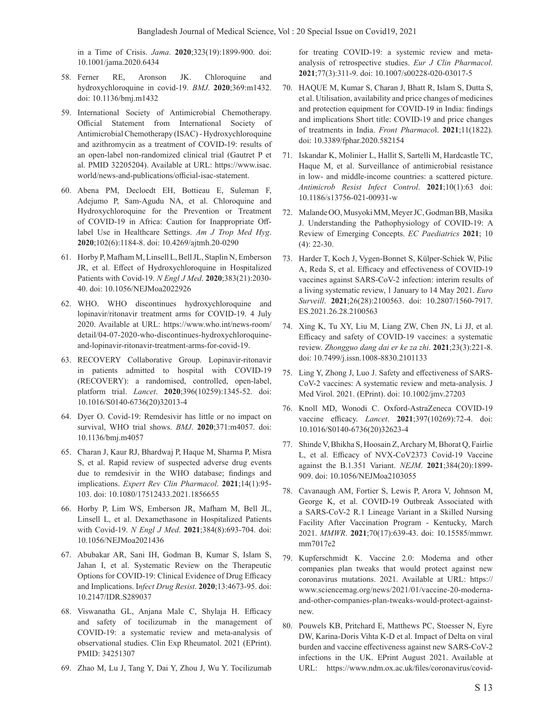in a Time of Crisis. *Jama*. **2020**;323(19):1899-900. doi: 10.1001/jama.2020.6434

- 58. Ferner RE, Aronson JK. Chloroquine and hydroxychloroquine in covid-19. *BMJ*. **2020**;369:m1432. doi: 10.1136/bmj.m1432
- 59. International Society of Antimicrobial Chemotherapy. Official Statement from International Society of Antimicrobial Chemotherapy (ISAC) - Hydroxychloroquine and azithromycin as a treatment of COVID-19: results of an open-label non-randomized clinical trial (Gautret P et al. PMID 32205204). Available at URL: https://www.isac. world/news-and-publications/official-isac-statement.
- 60. Abena PM, Decloedt EH, Bottieau E, Suleman F, Adejumo P, Sam-Agudu NA, et al. Chloroquine and Hydroxychloroquine for the Prevention or Treatment of COVID-19 in Africa: Caution for Inappropriate Offlabel Use in Healthcare Settings. *Am J Trop Med Hyg*. **2020**;102(6):1184-8. doi: 10.4269/ajtmh.20-0290
- 61. Horby P, Mafham M, Linsell L, Bell JL, Staplin N, Emberson JR, et al. Effect of Hydroxychloroquine in Hospitalized Patients with Covid-19. *N Engl J Med*. **2020**;383(21):2030- 40. doi: 10.1056/NEJMoa2022926
- 62. WHO. WHO discontinues hydroxychloroquine and lopinavir/ritonavir treatment arms for COVID-19. 4 July 2020. Available at URL: https://www.who.int/news-room/ detail/04-07-2020-who-discontinues-hydroxychloroquineand-lopinavir-ritonavir-treatment-arms-for-covid-19.
- 63. RECOVERY Collaborative Group. Lopinavir-ritonavir in patients admitted to hospital with COVID-19 (RECOVERY): a randomised, controlled, open-label, platform trial. *Lancet*. **2020**;396(10259):1345-52. doi: 10.1016/S0140-6736(20)32013-4
- 64. Dyer O. Covid-19: Remdesivir has little or no impact on survival, WHO trial shows. *BMJ*. **2020**;371:m4057. doi: 10.1136/bmj.m4057
- 65. Charan J, Kaur RJ, Bhardwaj P, Haque M, Sharma P, Misra S, et al. Rapid review of suspected adverse drug events due to remdesivir in the WHO database; findings and implications. *Expert Rev Clin Pharmacol*. **2021**;14(1):95- 103. doi: 10.1080/17512433.2021.1856655
- 66. Horby P, Lim WS, Emberson JR, Mafham M, Bell JL, Linsell L, et al. Dexamethasone in Hospitalized Patients with Covid-19. *N Engl J Med*. **2021**;384(8):693-704. doi: 10.1056/NEJMoa2021436
- 67. Abubakar AR, Sani IH, Godman B, Kumar S, Islam S, Jahan I, et al. Systematic Review on the Therapeutic Options for COVID-19: Clinical Evidence of Drug Efficacy and Implications. I*nfect Drug Resist*. **2020**;13:4673-95. doi: 10.2147/IDR.S289037
- 68. Viswanatha GL, Anjana Male C, Shylaja H. Efficacy and safety of tocilizumab in the management of COVID-19: a systematic review and meta-analysis of observational studies. Clin Exp Rheumatol. 2021 (EPrint). PMID: 34251307
- 69. Zhao M, Lu J, Tang Y, Dai Y, Zhou J, Wu Y. Tocilizumab

for treating COVID-19: a systemic review and metaanalysis of retrospective studies. *Eur J Clin Pharmacol*. **2021**;77(3):311-9. doi: 10.1007/s00228-020-03017-5

- 70. HAQUE M, Kumar S, Charan J, Bhatt R, Islam S, Dutta S, et al. Utilisation, availability and price changes of medicines and protection equipment for COVID-19 in India: findings and implications Short title: COVID-19 and price changes of treatments in India. *Front Pharmaco*l. **2021**;11(1822). doi: 10.3389/fphar.2020.582154
- 71. Iskandar K, Molinier L, Hallit S, Sartelli M, Hardcastle TC, Haque M, et al. Surveillance of antimicrobial resistance in low- and middle-income countries: a scattered picture. *Antimicrob Resist Infect Control*. **2021**;10(1):63 doi: 10.1186/s13756-021-00931-w
- 72. Malande OO, Musyoki MM, Meyer JC, Godman BB, Masika J. Understanding the Pathophysiology of COVID-19: A Review of Emerging Concepts. *EC Paediatrics* **2021**; 10 (4): 22-30.
- 73. Harder T, Koch J, Vygen-Bonnet S, Külper-Schiek W, Pilic A, Reda S, et al. Efficacy and effectiveness of COVID-19 vaccines against SARS-CoV-2 infection: interim results of a living systematic review, 1 January to 14 May 2021. *Euro Surveill*. **2021**;26(28):2100563. doi: 10.2807/1560-7917. ES.2021.26.28.2100563
- 74. Xing K, Tu XY, Liu M, Liang ZW, Chen JN, Li JJ, et al. Efficacy and safety of COVID-19 vaccines: a systematic review. *Zhongguo dang dai er ke za zhi*. **2021**;23(3):221-8. doi: 10.7499/j.issn.1008-8830.2101133
- 75. Ling Y, Zhong J, Luo J. Safety and effectiveness of SARS-CoV-2 vaccines: A systematic review and meta-analysis. J Med Virol. 2021. (EPrint). doi: 10.1002/jmv.27203
- 76. Knoll MD, Wonodi C. Oxford-AstraZeneca COVID-19 vaccine efficacy. *Lancet*. **2021**;397(10269):72-4. doi: 10.1016/S0140-6736(20)32623-4
- 77. Shinde V, Bhikha S, Hoosain Z, Archary M, Bhorat Q, Fairlie L, et al. Efficacy of NVX-CoV2373 Covid-19 Vaccine against the B.1.351 Variant. *NEJM*. **2021**;384(20):1899- 909. doi: 10.1056/NEJMoa2103055
- 78. Cavanaugh AM, Fortier S, Lewis P, Arora V, Johnson M, George K, et al. COVID-19 Outbreak Associated with a SARS-CoV-2 R.1 Lineage Variant in a Skilled Nursing Facility After Vaccination Program - Kentucky, March 2021. *MMWR*. **2021**;70(17):639-43. doi: 10.15585/mmwr. mm7017e2
- 79. Kupferschmidt K. Vaccine 2.0: Moderna and other companies plan tweaks that would protect against new coronavirus mutations. 2021. Available at URL: https:// www.sciencemag.org/news/2021/01/vaccine-20-modernaand-other-companies-plan-tweaks-would-protect-againstnew.
- 80. Pouwels KB, Pritchard E, Matthews PC, Stoesser N, Eyre DW, Karina-Doris Vihta K-D et al. Impact of Delta on viral burden and vaccine effectiveness against new SARS-CoV-2 infections in the UK. EPrint August 2021. Available at URL: https://www.ndm.ox.ac.uk/files/coronavirus/covid-